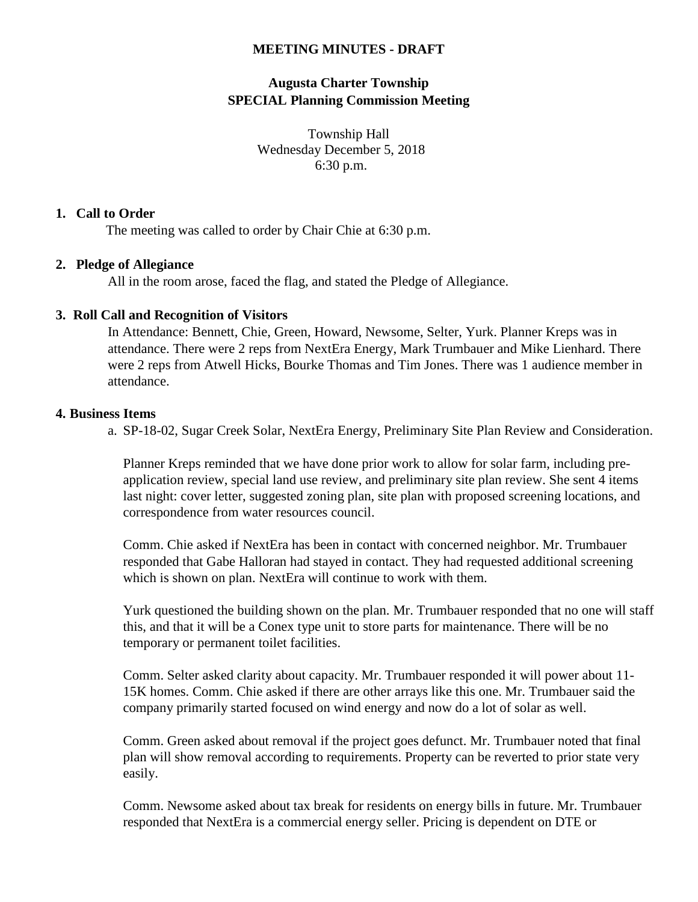## **MEETING MINUTES - DRAFT**

# **Augusta Charter Township SPECIAL Planning Commission Meeting**

Township Hall Wednesday December 5, 2018 6:30 p.m.

### **1. Call to Order**

The meeting was called to order by Chair Chie at 6:30 p.m.

#### **2. Pledge of Allegiance**

All in the room arose, faced the flag, and stated the Pledge of Allegiance.

#### **3. Roll Call and Recognition of Visitors**

In Attendance: Bennett, Chie, Green, Howard, Newsome, Selter, Yurk. Planner Kreps was in attendance. There were 2 reps from NextEra Energy, Mark Trumbauer and Mike Lienhard. There were 2 reps from Atwell Hicks, Bourke Thomas and Tim Jones. There was 1 audience member in attendance.

### **4. Business Items**

a. SP-18-02, Sugar Creek Solar, NextEra Energy, Preliminary Site Plan Review and Consideration.

Planner Kreps reminded that we have done prior work to allow for solar farm, including preapplication review, special land use review, and preliminary site plan review. She sent 4 items last night: cover letter, suggested zoning plan, site plan with proposed screening locations, and correspondence from water resources council.

Comm. Chie asked if NextEra has been in contact with concerned neighbor. Mr. Trumbauer responded that Gabe Halloran had stayed in contact. They had requested additional screening which is shown on plan. NextEra will continue to work with them.

Yurk questioned the building shown on the plan. Mr. Trumbauer responded that no one will staff this, and that it will be a Conex type unit to store parts for maintenance. There will be no temporary or permanent toilet facilities.

Comm. Selter asked clarity about capacity. Mr. Trumbauer responded it will power about 11- 15K homes. Comm. Chie asked if there are other arrays like this one. Mr. Trumbauer said the company primarily started focused on wind energy and now do a lot of solar as well.

Comm. Green asked about removal if the project goes defunct. Mr. Trumbauer noted that final plan will show removal according to requirements. Property can be reverted to prior state very easily.

Comm. Newsome asked about tax break for residents on energy bills in future. Mr. Trumbauer responded that NextEra is a commercial energy seller. Pricing is dependent on DTE or